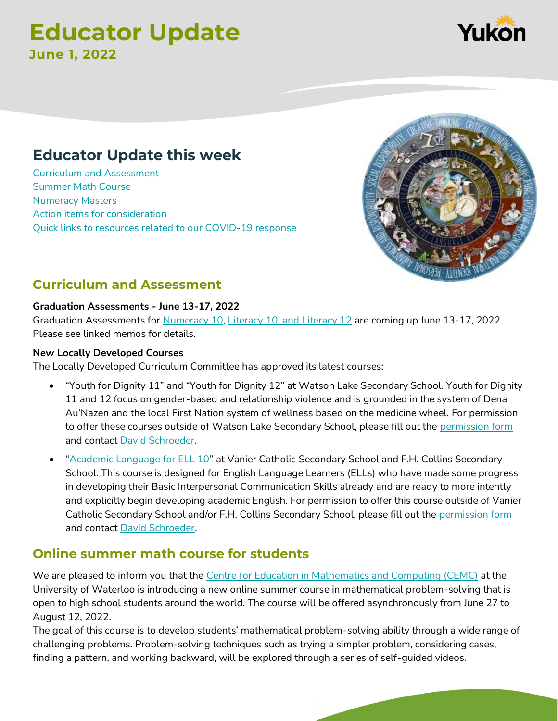# **Educator Update June 1, 2022**

## **Educator Update this week**

[Curriculum and Assessment](#page-0-0) [Summer Math Course](#page-0-1)  [Numeracy Masters](#page-1-0) [Action items for consideration](#page-1-1) [Quick links to resources related to our COVID-19 response](#page-1-2)

## <span id="page-0-0"></span>**Curriculum and Assessment**

#### **Graduation Assessments - June 13-17, 2022**

Graduation Assessments for [Numeracy 10,](https://teams.microsoft.com/l/message/19:5b543ff01e1d4a46bbee79569fb298b3@thread.tacv2/1654102271125?tenantId=45186b92-06e2-461c-8c8e-4566af8f511e&groupId=6161fff8-78b3-41a1-9cd5-3bd1479ec659&parentMessageId=1654102271125&teamName=Yukon%20Secondary%20Teachers%20Collaboration%20TEAM_O365&channelName=Numeracy&createdTime=1654102271125) [Literacy 10, and Literacy 12](https://teams.microsoft.com/l/message/19:dae1d1fc02684f068b5d2481a5c8385f@thread.tacv2/1654102701041?tenantId=45186b92-06e2-461c-8c8e-4566af8f511e&groupId=6161fff8-78b3-41a1-9cd5-3bd1479ec659&parentMessageId=1654102701041&teamName=Yukon%20Secondary%20Teachers%20Collaboration%20TEAM_O365&channelName=Literacy&createdTime=1654102701041) are coming up June 13-17, 2022. Please see linked memos for details.

#### **New Locally Developed Courses**

The Locally Developed Curriculum Committee has approved its latest courses:

- "Youth for Dignity 11" and "Youth for Dignity 12" at Watson Lake Secondary School. Youth for Dignity 11 and 12 focus on gender-based and relationship violence and is grounded in the system of Dena Au'Nazen and the local First Nation system of wellness based on the medicine wheel. For permission to offer these courses outside of Watson Lake Secondary School, please fill out the [permission form](http://tlewis.yukonschools.ca/uploads/5/4/5/7/54575273/local_course_permission_form.pdf) and contact [David Schroeder.](http://tlewis.yukonschools.ca/)
- "[Academic Language for ELL 10](http://tlewis.yukonschools.ca/uploads/5/4/5/7/54575273/final_academic_langauge_for_ell-_yukon_may_2022__1_.pdf)" at Vanier Catholic Secondary School and F.H. Collins Secondary School. This course is designed for English Language Learners (ELLs) who have made some progress in developing their Basic Interpersonal Communication Skills already and are ready to more intently and explicitly begin developing academic English. For permission to offer this course outside of Vanier Catholic Secondary School and/or F.H. Collins Secondary School, please fill out the [permission form](http://tlewis.yukonschools.ca/uploads/5/4/5/7/54575273/local_course_permission_form.pdf) and contact [David Schroeder.](http://tlewis.yukonschools.ca/)

## <span id="page-0-1"></span>**Online summer math course for students**

We are pleased to inform you that the [Centre for Education in Mathematics and Computing \(CEMC\)](https://can01.safelinks.protection.outlook.com/?url=https%3A%2F%2Fcemc.uwaterloo.ca%2F&data=05%7C01%7CDavid.schroeder%40yukon.ca%7Ce37ada9d205a4afbe55d08da425a5722%7C98f515313973490abb70195aa264a2bc%7C0%7C0%7C637895253588404728%7CUnknown%7CTWFpbGZsb3d8eyJWIjoiMC4wLjAwMDAiLCJQIjoiV2luMzIiLCJBTiI6Ik1haWwiLCJXVCI6Mn0%3D%7C3000%7C%7C%7C&sdata=%2FJt7sQ8eZCjEc2ic%2FwtwKm9Fipi%2FPAuTVV%2FCWGuMYHI%3D&reserved=0) at the University of Waterloo is introducing a new online summer course in mathematical problem-solving that is open to high school students around the world. The course will be offered asynchronously from June 27 to August 12, 2022.

The goal of this course is to develop students' mathematical problem-solving ability through a wide range of challenging problems. Problem-solving techniques such as trying a simpler problem, considering cases, finding a pattern, and working backward, will be explored through a series of self-guided videos.